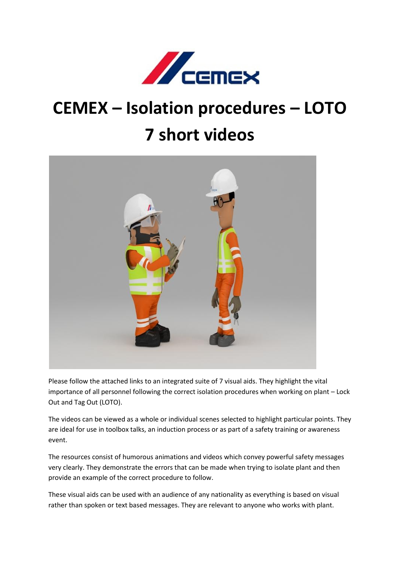

## **CEMEX – Isolation procedures – LOTO 7 short videos**



Please follow the attached links to an integrated suite of 7 visual aids. They highlight the vital importance of all personnel following the correct isolation procedures when working on plant – Lock Out and Tag Out (LOTO).

The videos can be viewed as a whole or individual scenes selected to highlight particular points. They are ideal for use in toolbox talks, an induction process or as part of a safety training or awareness event.

The resources consist of humorous animations and videos which convey powerful safety messages very clearly. They demonstrate the errors that can be made when trying to isolate plant and then provide an example of the correct procedure to follow.

These visual aids can be used with an audience of any nationality as everything is based on visual rather than spoken or text based messages. They are relevant to anyone who works with plant.